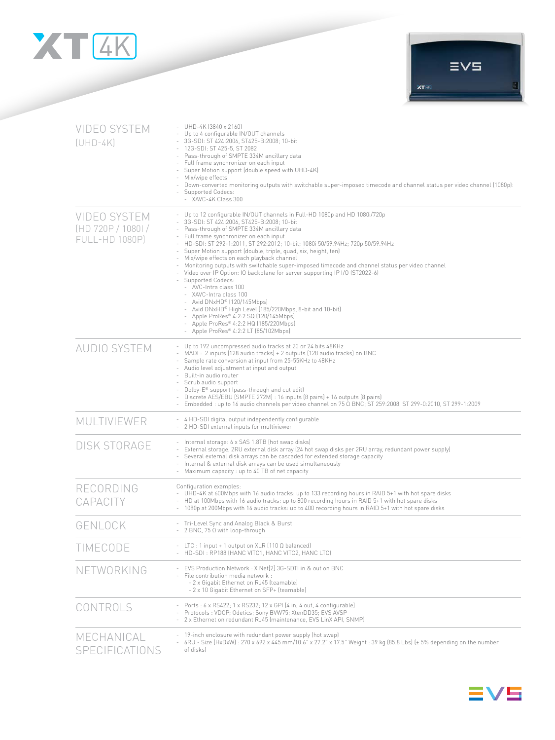



| <b>VIDEO SYSTEM</b><br>$[UHD-4K]$                                  | UHD-4K (3840 x 2160)<br>Up to 4 configurable IN/OUT channels<br>3G-SDI: ST 424:2006, ST425-B:2008; 10-bit<br>12G-SDI: ST 425-5, ST 2082<br>Pass-through of SMPTE 334M ancillary data<br>$\overline{\phantom{a}}$<br>Full frame synchronizer on each input<br>Super Motion support (double speed with UHD-4K)<br>Mix/wipe effects<br>Down-converted monitoring outputs with switchable super-imposed timecode and channel status per video channel (1080p):<br>Supported Codecs:<br>- XAVC-4K Class 300                                                                                                                                                                                                                                                                                                                                                                                                                                                         |  |
|--------------------------------------------------------------------|----------------------------------------------------------------------------------------------------------------------------------------------------------------------------------------------------------------------------------------------------------------------------------------------------------------------------------------------------------------------------------------------------------------------------------------------------------------------------------------------------------------------------------------------------------------------------------------------------------------------------------------------------------------------------------------------------------------------------------------------------------------------------------------------------------------------------------------------------------------------------------------------------------------------------------------------------------------|--|
| <b>VIDEO SYSTEM</b><br>(HD 720P / 1080) /<br><b>FULL-HD 1080P)</b> | - Up to 12 configurable IN/OUT channels in Full-HD 1080p and HD 1080i/720p<br>3G-SDI: ST 424:2006, ST425-B:2008; 10-bit<br>Pass-through of SMPTE 334M ancillary data<br>Full frame synchronizer on each input<br>$\sim$<br>HD-SDI: ST 292-1:2011, ST 292:2012; 10-bit; 1080i 50/59.94Hz; 720p 50/59.94Hz<br>Super Motion support (double, triple, quad, six, height, ten)<br>$\overline{\phantom{a}}$<br>Mix/wipe effects on each playback channel<br>$\overline{\phantom{a}}$<br>Monitoring outputs with switchable super-imposed timecode and channel status per video channel<br>Video over IP Option: IO backplane for server supporting IP I/O (ST2022-6)<br>Supported Codecs:<br>- AVC-Intra class 100<br>- XAVC-Intra class 100<br>- Avid DNxHD® (120/145Mbps)<br>- Avid DNxHD® High Level (185/220Mbps, 8-bit and 10-bit)<br>- Apple ProRes® 4:2:2 SQ (120/145Mbps)<br>- Apple ProRes® 4:2:2 HQ (185/220Mbps)<br>- Apple ProRes® 4:2:2 LT (85/102Mbps) |  |
| <b>AUDIO SYSTEM</b>                                                | Up to 192 uncompressed audio tracks at 20 or 24 bits 48KHz<br>MADI: 2 inputs (128 audio tracks) + 2 outputs (128 audio tracks) on BNC<br>Sample rate conversion at input from 25-55KHz to 48KHz<br>$\sim$<br>Audio level adjustment at input and output<br>÷.<br>Built-in audio router<br>$\sim$<br>Scrub audio support<br>Dolby-E® support (pass-through and cut edit)<br>Discrete AES/EBU (SMPTE 272M) : 16 inputs (8 pairs) + 16 outputs (8 pairs)<br>Embedded : up to 16 audio channels per video channel on 75 Ω BNC; ST 259:2008, ST 299-0:2010, ST 299-1:2009                                                                                                                                                                                                                                                                                                                                                                                           |  |
| MULTIVIEWER                                                        | - 4 HD-SDI digital output independently configurable<br>- 2 HD-SDI external inputs for multiviewer                                                                                                                                                                                                                                                                                                                                                                                                                                                                                                                                                                                                                                                                                                                                                                                                                                                             |  |
| <b>DISK STORAGE</b>                                                | - Internal storage: 6 x SAS 1.8TB (hot swap disks)<br>External storage, 2RU external disk array (24 hot swap disks per 2RU array, redundant power supply)<br>Several external disk arrays can be cascaded for extended storage capacity<br>$\overline{\phantom{a}}$<br>Internal & external disk arrays can be used simultaneously<br>Maximum capacity : up to 40 TB of net capacity<br>$\sim$                                                                                                                                                                                                                                                                                                                                                                                                                                                                                                                                                                  |  |
| RECORDING<br>CAPACITY                                              | Configuration examples:<br>UHD-4K at 600Mbps with 16 audio tracks: up to 133 recording hours in RAID 5+1 with hot spare disks<br>- HD at 100Mbps with 16 audio tracks: up to 800 recording hours in RAID 5+1 with hot spare disks<br>1080p at 200Mbps with 16 audio tracks: up to 400 recording hours in RAID 5+1 with hot spare disks                                                                                                                                                                                                                                                                                                                                                                                                                                                                                                                                                                                                                         |  |
| GENLOCK                                                            | Tri-Level Sync and Analog Black & Burst<br>$-2$ BNC, 75 $\Omega$ with loop-through                                                                                                                                                                                                                                                                                                                                                                                                                                                                                                                                                                                                                                                                                                                                                                                                                                                                             |  |
| TIMECODE                                                           | - LTC : 1 input + 1 output on XLR (110 $\Omega$ balanced)<br>HD-SDI: RP188 (HANC VITC1, HANC VITC2, HANC LTC)                                                                                                                                                                                                                                                                                                                                                                                                                                                                                                                                                                                                                                                                                                                                                                                                                                                  |  |
| NETWORKING                                                         | EVS Production Network: X Net[2] 3G-SDTI in & out on BNC<br>File contribution media network :<br>- 2 x Gigabit Ethernet on RJ45 (teamable)<br>- 2 x 10 Gigabit Ethernet on SFP+ (teamable)                                                                                                                                                                                                                                                                                                                                                                                                                                                                                                                                                                                                                                                                                                                                                                     |  |
| CONTROLS                                                           | - Ports : 6 x RS422; 1 x RS232; 12 x GPI (4 in, 4 out, 4 configurable)<br>Protocols: VDCP; Odetics; Sony BVW75; XtenDD35; EVS AVSP<br>2 x Ethernet on redundant RJ45 (maintenance, EVS LinX API, SNMP)                                                                                                                                                                                                                                                                                                                                                                                                                                                                                                                                                                                                                                                                                                                                                         |  |
| MECHANICAL<br>SPECIFICATIONS                                       | 19-inch enclosure with redundant power supply (hot swap)<br>6RU - Size (HxDxW) : 270 x 692 x 445 mm/10.6" x 27.2" x 17.5" Weight : 39 kg (85.8 Lbs) (± 5% depending on the number<br>of disks)                                                                                                                                                                                                                                                                                                                                                                                                                                                                                                                                                                                                                                                                                                                                                                 |  |